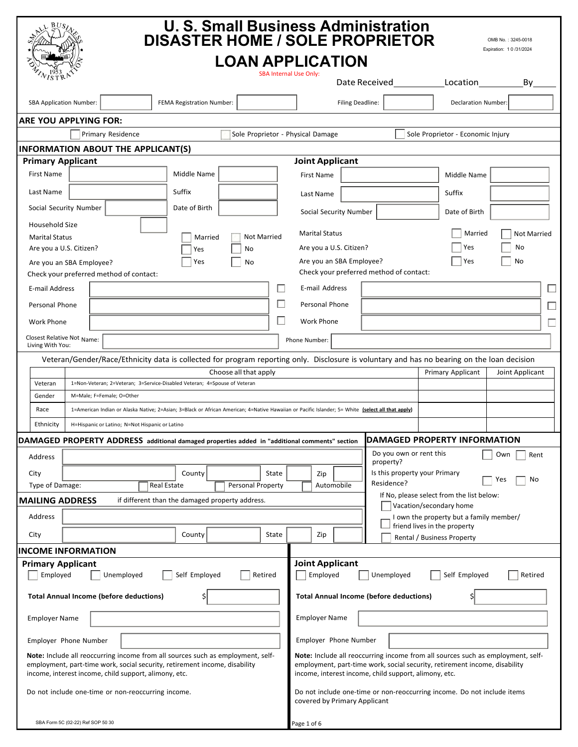|                                                                                                                                                                                                                                                                                                                                                                                                                                                                                                                                                                         | <b>U. S. Small Business Administration</b><br><b>DISASTER HOME / SOLE PROPRIETOR</b><br>OMB No.: 3245-0018<br>Expiration: 1 0 /31/2024 |  |  |  |
|-------------------------------------------------------------------------------------------------------------------------------------------------------------------------------------------------------------------------------------------------------------------------------------------------------------------------------------------------------------------------------------------------------------------------------------------------------------------------------------------------------------------------------------------------------------------------|----------------------------------------------------------------------------------------------------------------------------------------|--|--|--|
| <b>LOAN APPLICATION</b>                                                                                                                                                                                                                                                                                                                                                                                                                                                                                                                                                 |                                                                                                                                        |  |  |  |
|                                                                                                                                                                                                                                                                                                                                                                                                                                                                                                                                                                         | <b>SBA Internal Use Only:</b><br>Location<br>By<br>Date Received                                                                       |  |  |  |
| FEMA Registration Number:<br><b>SBA Application Number:</b>                                                                                                                                                                                                                                                                                                                                                                                                                                                                                                             | Filing Deadline:<br>Declaration Number:                                                                                                |  |  |  |
| <b>ARE YOU APPLYING FOR:</b>                                                                                                                                                                                                                                                                                                                                                                                                                                                                                                                                            |                                                                                                                                        |  |  |  |
| Primary Residence<br>Sole Proprietor - Physical Damage                                                                                                                                                                                                                                                                                                                                                                                                                                                                                                                  | Sole Proprietor - Economic Injury                                                                                                      |  |  |  |
| <b>INFORMATION ABOUT THE APPLICANT(S)</b>                                                                                                                                                                                                                                                                                                                                                                                                                                                                                                                               |                                                                                                                                        |  |  |  |
| <b>Primary Applicant</b><br>Middle Name<br>First Name                                                                                                                                                                                                                                                                                                                                                                                                                                                                                                                   | <b>Joint Applicant</b>                                                                                                                 |  |  |  |
|                                                                                                                                                                                                                                                                                                                                                                                                                                                                                                                                                                         | <b>First Name</b><br>Middle Name                                                                                                       |  |  |  |
| Suffix<br>Last Name                                                                                                                                                                                                                                                                                                                                                                                                                                                                                                                                                     | Suffix<br>Last Name                                                                                                                    |  |  |  |
| Social Security Number<br>Date of Birth                                                                                                                                                                                                                                                                                                                                                                                                                                                                                                                                 | Social Security Number<br>Date of Birth                                                                                                |  |  |  |
| Household Size                                                                                                                                                                                                                                                                                                                                                                                                                                                                                                                                                          | <b>Marital Status</b><br>Married                                                                                                       |  |  |  |
| <b>Not Married</b><br><b>Marital Status</b><br>Married<br>Are you a U.S. Citizen?                                                                                                                                                                                                                                                                                                                                                                                                                                                                                       | <b>Not Married</b><br>Yes<br>Are you a U.S. Citizen?<br>No                                                                             |  |  |  |
| No<br>Yes<br>Yes<br>No                                                                                                                                                                                                                                                                                                                                                                                                                                                                                                                                                  | Are you an SBA Employee?<br>Yes<br>No                                                                                                  |  |  |  |
| Are you an SBA Employee?<br>Check your preferred method of contact:<br>Check your preferred method of contact:                                                                                                                                                                                                                                                                                                                                                                                                                                                          |                                                                                                                                        |  |  |  |
| E-mail Address<br>$\Box$                                                                                                                                                                                                                                                                                                                                                                                                                                                                                                                                                | E-mail Address                                                                                                                         |  |  |  |
| $\Box$<br>Personal Phone                                                                                                                                                                                                                                                                                                                                                                                                                                                                                                                                                | Personal Phone                                                                                                                         |  |  |  |
| ш<br><b>Work Phone</b>                                                                                                                                                                                                                                                                                                                                                                                                                                                                                                                                                  | <b>Work Phone</b>                                                                                                                      |  |  |  |
| Closest Relative Not Name:                                                                                                                                                                                                                                                                                                                                                                                                                                                                                                                                              | $\overline{\phantom{a}}$                                                                                                               |  |  |  |
| Living With You:                                                                                                                                                                                                                                                                                                                                                                                                                                                                                                                                                        | Phone Number:                                                                                                                          |  |  |  |
| Veteran/Gender/Race/Ethnicity data is collected for program reporting only. Disclosure is voluntary and has no bearing on the loan decision<br>Primary Applicant<br>Choose all that apply<br>Joint Applicant<br>1=Non-Veteran; 2=Veteran; 3=Service-Disabled Veteran; 4=Spouse of Veteran<br>Veteran<br>Gender<br>M=Male; F=Female; O=Other<br>Race<br>1=American Indian or Alaska Native; 2=Asian; 3=Black or African American; 4=Native Hawaiian or Pacific Islander; 5= White (select all that apply)<br>Ethnicity<br>H=Hispanic or Latino; N=Not Hispanic or Latino |                                                                                                                                        |  |  |  |
| DAMAGED PROPERTY ADDRESS additional damaged properties added in "additional comments" section                                                                                                                                                                                                                                                                                                                                                                                                                                                                           | DAMAGED PROPERTY INFORMATION                                                                                                           |  |  |  |
| Address                                                                                                                                                                                                                                                                                                                                                                                                                                                                                                                                                                 | Do you own or rent this<br>Own<br>Rent<br>property?                                                                                    |  |  |  |
| City<br>County<br>State                                                                                                                                                                                                                                                                                                                                                                                                                                                                                                                                                 | Is this property your Primary<br>Zip                                                                                                   |  |  |  |
| Real Estate<br>Personal Property<br>Type of Damage:                                                                                                                                                                                                                                                                                                                                                                                                                                                                                                                     | No<br>Yes<br>Residence?<br>Automobile                                                                                                  |  |  |  |
| If No, please select from the list below:<br><b>MAILING ADDRESS</b><br>if different than the damaged property address.<br>Vacation/secondary home                                                                                                                                                                                                                                                                                                                                                                                                                       |                                                                                                                                        |  |  |  |
| Address                                                                                                                                                                                                                                                                                                                                                                                                                                                                                                                                                                 | I own the property but a family member/                                                                                                |  |  |  |
| State<br>City<br>County                                                                                                                                                                                                                                                                                                                                                                                                                                                                                                                                                 | friend lives in the property<br>Zip<br>Rental / Business Property                                                                      |  |  |  |
| <b>INCOME INFORMATION</b>                                                                                                                                                                                                                                                                                                                                                                                                                                                                                                                                               |                                                                                                                                        |  |  |  |
| <b>Joint Applicant</b><br><b>Primary Applicant</b><br>Employed<br>Employed<br>Unemployed<br>Self Employed<br>Retired<br>Unemployed<br>Self Employed<br>Retired                                                                                                                                                                                                                                                                                                                                                                                                          |                                                                                                                                        |  |  |  |
| <b>Total Annual Income (before deductions)</b><br><b>Total Annual Income (before deductions)</b><br>Ş                                                                                                                                                                                                                                                                                                                                                                                                                                                                   |                                                                                                                                        |  |  |  |
| <b>Employer Name</b>                                                                                                                                                                                                                                                                                                                                                                                                                                                                                                                                                    | <b>Employer Name</b>                                                                                                                   |  |  |  |
| Employer Phone Number                                                                                                                                                                                                                                                                                                                                                                                                                                                                                                                                                   | Employer Phone Number                                                                                                                  |  |  |  |
| Note: Include all reoccurring income from all sources such as employment, self-<br>Note: Include all reoccurring income from all sources such as employment, self-<br>employment, part-time work, social security, retirement income, disability<br>employment, part-time work, social security, retirement income, disability<br>income, interest income, child support, alimony, etc.<br>income, interest income, child support, alimony, etc.                                                                                                                        |                                                                                                                                        |  |  |  |
| Do not include one-time or non-reoccurring income.<br>Do not include one-time or non-reoccurring income. Do not include items<br>covered by Primary Applicant                                                                                                                                                                                                                                                                                                                                                                                                           |                                                                                                                                        |  |  |  |
| SBA Form 5C (02-22) Ref SOP 50 30                                                                                                                                                                                                                                                                                                                                                                                                                                                                                                                                       | Page 1 of 6                                                                                                                            |  |  |  |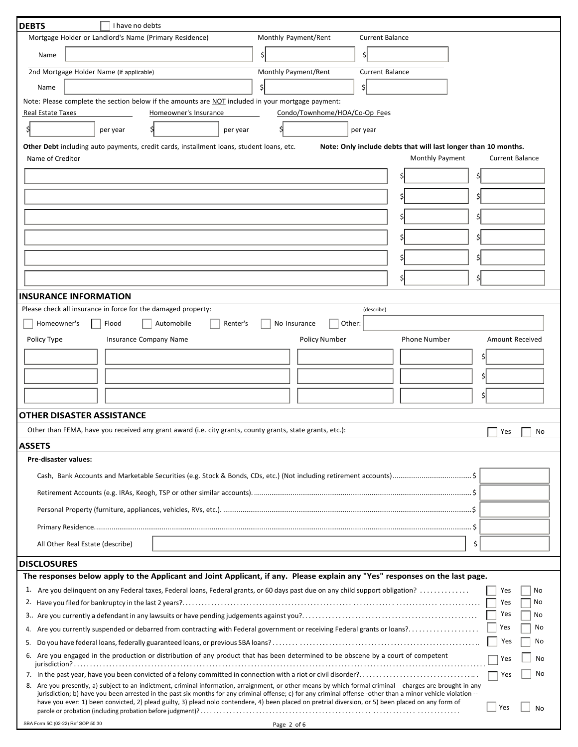| <b>DEBTS</b><br>I have no debts                                                                                                                                                                                                                                                                                      |                               |                                                                |                        |
|----------------------------------------------------------------------------------------------------------------------------------------------------------------------------------------------------------------------------------------------------------------------------------------------------------------------|-------------------------------|----------------------------------------------------------------|------------------------|
| Mortgage Holder or Landlord's Name (Primary Residence)                                                                                                                                                                                                                                                               | Monthly Payment/Rent          | <b>Current Balance</b>                                         |                        |
| Name                                                                                                                                                                                                                                                                                                                 | Ś                             | Ś                                                              |                        |
| 2nd Mortgage Holder Name (if applicable)                                                                                                                                                                                                                                                                             | Monthly Payment/Rent          | <b>Current Balance</b>                                         |                        |
| Name                                                                                                                                                                                                                                                                                                                 |                               | \$l                                                            |                        |
| Note: Please complete the section below if the amounts are NOT included in your mortgage payment:                                                                                                                                                                                                                    |                               |                                                                |                        |
| Homeowner's Insurance<br><b>Real Estate Taxes</b>                                                                                                                                                                                                                                                                    | Condo/Townhome/HOA/Co-Op Fees |                                                                |                        |
| per year<br>per year                                                                                                                                                                                                                                                                                                 |                               | per year                                                       |                        |
| Other Debt including auto payments, credit cards, installment loans, student loans, etc.                                                                                                                                                                                                                             |                               | Note: Only include debts that will last longer than 10 months. |                        |
| Name of Creditor                                                                                                                                                                                                                                                                                                     |                               | Monthly Payment                                                | <b>Current Balance</b> |
|                                                                                                                                                                                                                                                                                                                      |                               |                                                                | Ś                      |
|                                                                                                                                                                                                                                                                                                                      |                               |                                                                |                        |
|                                                                                                                                                                                                                                                                                                                      |                               |                                                                |                        |
|                                                                                                                                                                                                                                                                                                                      |                               |                                                                |                        |
|                                                                                                                                                                                                                                                                                                                      |                               |                                                                |                        |
|                                                                                                                                                                                                                                                                                                                      |                               |                                                                |                        |
|                                                                                                                                                                                                                                                                                                                      |                               |                                                                |                        |
|                                                                                                                                                                                                                                                                                                                      |                               | \$                                                             |                        |
| <b>INSURANCE INFORMATION</b>                                                                                                                                                                                                                                                                                         |                               |                                                                |                        |
| Please check all insurance in force for the damaged property:                                                                                                                                                                                                                                                        |                               | (describe)                                                     |                        |
| Homeowner's<br>Flood<br>Automobile<br>Renter's                                                                                                                                                                                                                                                                       | No Insurance<br>Other:        |                                                                |                        |
| Policy Type<br><b>Insurance Company Name</b>                                                                                                                                                                                                                                                                         | <b>Policy Number</b>          | <b>Phone Number</b>                                            | Amount Received        |
|                                                                                                                                                                                                                                                                                                                      |                               |                                                                | \$                     |
|                                                                                                                                                                                                                                                                                                                      |                               |                                                                | Ś                      |
|                                                                                                                                                                                                                                                                                                                      |                               |                                                                |                        |
|                                                                                                                                                                                                                                                                                                                      |                               |                                                                | \$                     |
| <b>OTHER DISASTER ASSISTANCE</b>                                                                                                                                                                                                                                                                                     |                               |                                                                |                        |
| Other than FEMA, have you received any grant award (i.e. city grants, county grants, state grants, etc.):                                                                                                                                                                                                            |                               |                                                                | Yes<br>No              |
| <b>ASSETS</b>                                                                                                                                                                                                                                                                                                        |                               |                                                                |                        |
| Pre-disaster values:                                                                                                                                                                                                                                                                                                 |                               |                                                                |                        |
|                                                                                                                                                                                                                                                                                                                      |                               |                                                                |                        |
|                                                                                                                                                                                                                                                                                                                      |                               |                                                                |                        |
|                                                                                                                                                                                                                                                                                                                      |                               |                                                                |                        |
|                                                                                                                                                                                                                                                                                                                      |                               |                                                                |                        |
| All Other Real Estate (describe)                                                                                                                                                                                                                                                                                     |                               |                                                                | \$                     |
|                                                                                                                                                                                                                                                                                                                      |                               |                                                                |                        |
| <b>DISCLOSURES</b><br>The responses below apply to the Applicant and Joint Applicant, if any. Please explain any "Yes" responses on the last page.                                                                                                                                                                   |                               |                                                                |                        |
| 1.<br>Are you delinguent on any Federal taxes, Federal loans, Federal grants, or 60 days past due on any child support obligation?                                                                                                                                                                                   |                               |                                                                | Yes<br>No              |
|                                                                                                                                                                                                                                                                                                                      |                               |                                                                | No<br>Yes              |
|                                                                                                                                                                                                                                                                                                                      |                               |                                                                | Yes<br>No              |
| Are you currently suspended or debarred from contracting with Federal government or receiving Federal grants or loans?<br>4.                                                                                                                                                                                         |                               |                                                                | Yes<br>No              |
| 5.                                                                                                                                                                                                                                                                                                                   |                               |                                                                | Yes<br>No              |
| 6. Are you engaged in the production or distribution of any product that has been determined to be obscene by a court of competent<br>No<br>Yes                                                                                                                                                                      |                               |                                                                |                        |
| No                                                                                                                                                                                                                                                                                                                   |                               |                                                                |                        |
| Yes<br>8. Are you presently, a) subject to an indictment, criminal information, arraignment, or other means by which formal criminal charges are brought in any                                                                                                                                                      |                               |                                                                |                        |
| jurisdiction; b) have you been arrested in the past six months for any criminal offense; c) for any criminal offense -other than a minor vehicle violation --<br>have you ever: 1) been convicted, 2) plead guilty, 3) plead nolo contendere, 4) been placed on pretrial diversion, or 5) been placed on any form of |                               |                                                                | Yes<br><b>No</b>       |
| SBA Form 5C (02-22) Ref SOP 50 30                                                                                                                                                                                                                                                                                    | Page 2 of 6                   |                                                                |                        |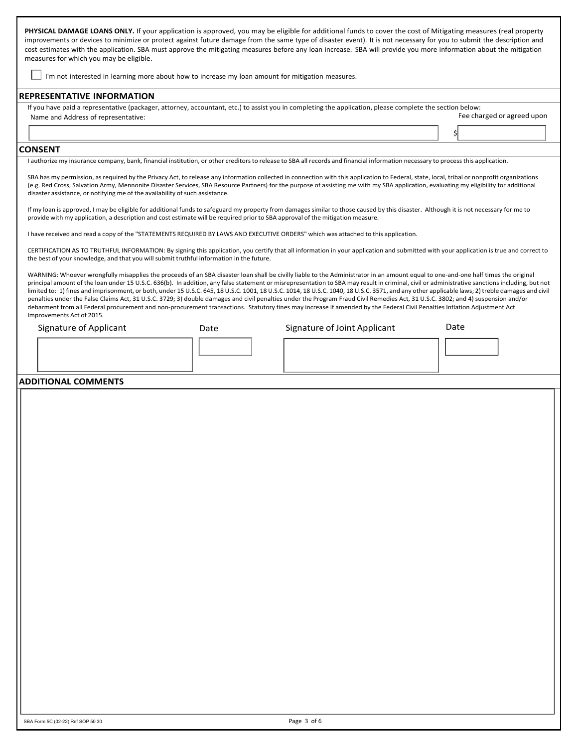PHYSICAL DAMAGE LOANS ONLY. If your application is approved, you may be eligible for additional funds to cover the cost of Mitigating measures (real property improvements or devices to minimize or protect against future damage from the same type of disaster event). It is not necessary for you to submit the description and cost estimates with the application. SBA must approve the mitigating measures before any loan increase. SBA will provide you more information about the mitigation measures for which you may be eligible.

 $\bigsqcup$  I'm not interested in learning more about how to increase my loan amount for mitigation measures.

#### **REPRESENTATIVE INFORMATION**

| If you have paid a representative (packager, attorney, accountant, etc.) to assist you in completing the application, please complete the section below: |                            |  |
|----------------------------------------------------------------------------------------------------------------------------------------------------------|----------------------------|--|
| Name and Address of representative:                                                                                                                      | Fee charged or agreed upon |  |

#### **CONSENT**

I authorize my insurance company, bank, financial institution, or other creditors to release to SBA all records and financial information necessary to process this application.

SBA has my permission, as required by the Privacy Act, to release any information collected in connection with this application to Federal, state, local, tribal or nonprofit organizations (e.g. Red Cross, Salvation Army, Mennonite Disaster Services, SBA Resource Partners) for the purpose of assisting me with my SBA application, evaluating my eligibility for additional disaster assistance, or notifying me of the availability of such assistance.

If my loan is approved, I may be eligible for additional funds to safeguard my property from damages similar to those caused by this disaster. Although it is not necessary for me to provide with my application, a description and cost estimate will be required prior to SBA approval of the mitigation measure.

I have received and read a copy of the "STATEMENTS REQUIRED BY LAWS AND EXECUTIVE ORDERS" which was attached to this application.

CERTIFICATION AS TO TRUTHFUL INFORMATION: By signing this application, you certify that all information in your application and submitted with your application is true and correct to the best of your knowledge, and that you will submit truthful information in the future.

WARNING: Whoever wrongfully misapplies the proceeds of an SBA disaster loan shall be civilly liable to the Administrator in an amount equal to one-and-one half times the original principal amount of the loan under 15 U.S.C. 636(b). In addition, any false statement or misrepresentation to SBA may result in criminal, civil or administrative sanctions including, but not limited to: 1) fines and imprisonment, or both, under 15 U.S.C. 645, 18 U.S.C. 1001, 18 U.S.C. 1014, 18 U.S.C. 1040, 18 U.S.C. 3571, and any other applicable laws; 2) treble damages and civil penalties under the False Claims Act, 31 U.S.C. 3729; 3) double damages and civil penalties under the Program Fraud Civil Remedies Act, 31 U.S.C. 3802; and 4) suspension and/or debarment from all Federal procurement and non-procurement transactions. Statutory fines may increase if amended by the Federal Civil Penalties Inflation Adjustment Act Improvements Act of 2015.

Signature of Applicant Date Signature of Joint Applicant Date

\$

#### **ADDITIONAL COMMENTS**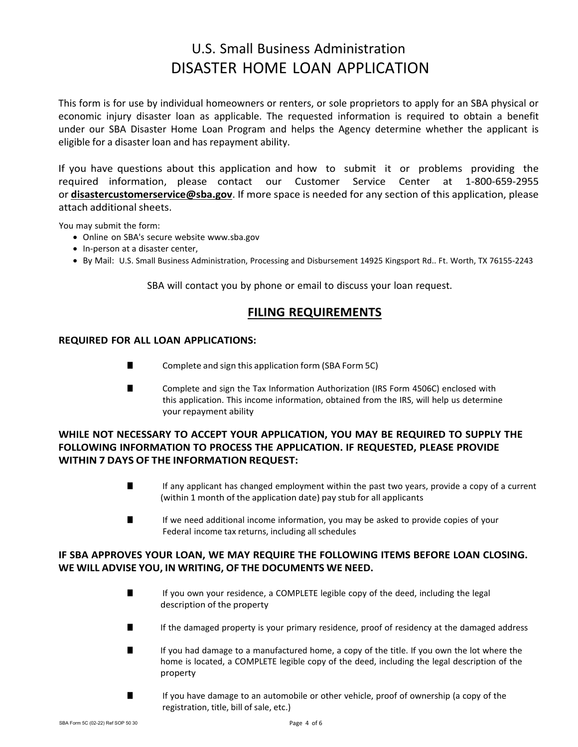# U.S. Small Business Administration DISASTER HOME LOAN APPLICATION

This form is for use by individual homeowners or renters, or sole proprietors to apply for an SBA physical or economic injury disaster loan as applicable. The requested information is required to obtain a benefit under our SBA Disaster Home Loan Program and helps the Agency determine whether the applicant is eligible for a disaster loan and has repayment ability.

If you have questions about this application and how to submit it or problems providing the required information, please contact our Customer Service Center at 1-800-659-2955 or **[disastercustomerservice@sba.gov](mailto:disastercustomerservice@sba.gov)**. If more space is needed for any section of this application, please attach additional sheets.

You may submit the form:

- Online on SBA's secure website [www.sba.gov](http://www.sba.gov/)
- In-person at a disaster center,
- By Mail: U.S. Small Business Administration, Processing and Disbursement 14925 Kingsport Rd.. Ft. Worth, TX 76155-2243

SBA will contact you by phone or email to discuss your loan request.

# **FILING REQUIREMENTS**

## **REQUIRED FOR ALL LOAN APPLICATIONS:**

- Complete and sign this application form (SBA Form 5C)
- Complete and sign the Tax Information Authorization (IRS Form 4506C) enclosed with this application. This income information, obtained from the IRS, will help us determine your repayment ability

# **WHILE NOT NECESSARY TO ACCEPT YOUR APPLICATION, YOU MAY BE REQUIRED TO SUPPLY THE FOLLOWING INFORMATION TO PROCESS THE APPLICATION. IF REQUESTED, PLEASE PROVIDE WITHIN 7 DAYS OF THE INFORMATION REQUEST:**

- If any applicant has changed employment within the past two years, provide a copy of a current (within 1 month of the application date) pay stub for all applicants
- If we need additional income information, you may be asked to provide copies of your Federal income tax returns, including all schedules

## **IF SBA APPROVES YOUR LOAN, WE MAY REQUIRE THE FOLLOWING ITEMS BEFORE LOAN CLOSING. WE WILL ADVISE YOU, IN WRITING, OF THE DOCUMENTS WE NEED.**

- If you own your residence, a COMPLETE legible copy of the deed, including the legal description of the property
- If the damaged property is your primary residence, proof of residency at the damaged address
- If you had damage to a manufactured home, a copy of the title. If you own the lot where the home is located, a COMPLETE legible copy of the deed, including the legal description of the property
- If you have damage to an automobile or other vehicle, proof of ownership (a copy of the registration, title, bill of sale, etc.)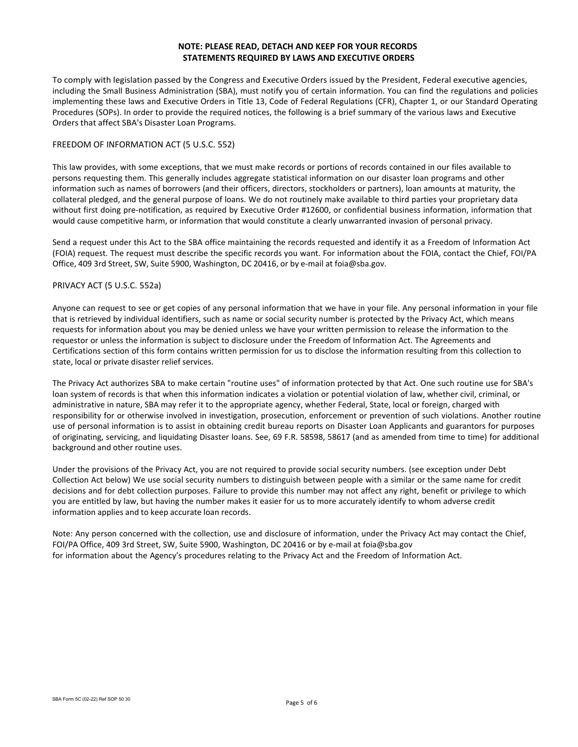## **NOTE: PLEASE READ, DETACH AND KEEP FOR YOUR RECORDS STATEMENTS REQUIRED BY LAWS AND EXECUTIVE ORDERS**

To comply with legislation passed by the Congress and Executive Orders issued by the President, Federal executive agencies, including the Small Business Administration (SBA), must notify you of certain information. You can find the regulations and policies implementing these laws and Executive Orders in Title 13, Code of Federal Regulations (CFR), Chapter 1, or our Standard Operating Procedures (SOPs). In order to provide the required notices, the following is a brief summary of the various laws and Executive Orders that affect SBA's Disaster Loan Programs.

## FREEDOM OF INFORMATION ACT (5 U.S.C. 552)

This law provides, with some exceptions, that we must make records or portions of records contained in our files available to persons requesting them. This generally includes aggregate statistical information on our disaster loan programs and other information such as names of borrowers (and their officers, directors, stockholders or partners), loan amounts at maturity, the collateral pledged, and the general purpose of loans. We do not routinely make available to third parties your proprietary data without first doing pre-notification, as required by Executive Order #12600, or confidential business information, information that would cause competitive harm, or information that would constitute a clearly unwarranted invasion of personal privacy.

Send a request under this Act to the SBA office maintaining the records requested and identify it as a Freedom of Information Act (FOIA) request. The request must describe the specific records you want. For information about the FOIA, contact the Chief, FOI/PA Office, 409 3rd Street, SW, Suite 5900, Washington, DC 20416, or by e-mail at [foia@sba.gov.](mailto:foia@sba.gov)

## PRIVACY ACT (5 U.S.C. 552a)

Anyone can request to see or get copies of any personal information that we have in your file. Any personal information in your file that is retrieved by individual identifiers, such as name or social security number is protected by the Privacy Act, which means requests for information about you may be denied unless we have your written permission to release the information to the requestor or unless the information is subject to disclosure under the Freedom of Information Act. The Agreements and Certifications section of this form contains written permission for us to disclose the information resulting from this collection to state, local or private disaster relief services.

The Privacy Act authorizes SBA to make certain "routine uses" of information protected by that Act. One such routine use for SBA's loan system of records is that when this information indicates a violation or potential violation of law, whether civil, criminal, or administrative in nature, SBA may refer it to the appropriate agency, whether Federal, State, local or foreign, charged with responsibility for or otherwise involved in investigation, prosecution, enforcement or prevention of such violations. Another routine use of personal information is to assist in obtaining credit bureau reports on Disaster Loan Applicants and guarantors for purposes of originating, servicing, and liquidating Disaster loans. See, 69 F.R. 58598, 58617 (and as amended from time to time) for additional background and other routine uses.

Under the provisions of the Privacy Act, you are not required to provide social security numbers. (see exception under Debt Collection Act below) We use social security numbers to distinguish between people with a similar or the same name for credit decisions and for debt collection purposes. Failure to provide this number may not affect any right, benefit or privilege to which you are entitled by law, but having the number makes it easier for us to more accurately identify to whom adverse credit information applies and to keep accurate loan records.

Note: Any person concerned with the collection, use and disclosure of information, under the Privacy Act may contact the Chief, FOI/PA Office, 409 3rd Street, SW, Suite 5900, Washington, DC 20416 or by e-mail at [foia@sba.gov](mailto:foia@sba.gov) for information about the Agency's procedures relating to the Privacy Act and the Freedom of Information Act.